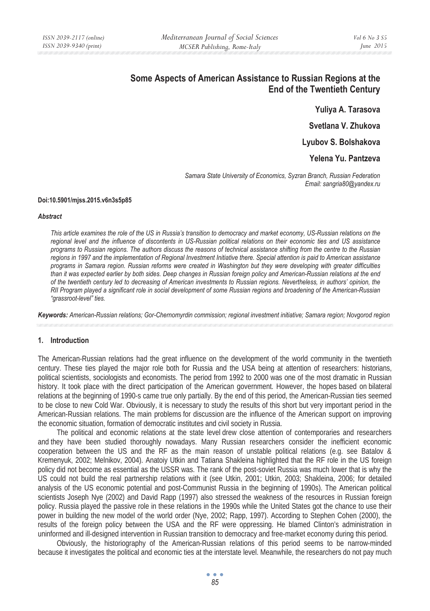# **Some Aspects of American Assistance to Russian Regions at the End of the Twentieth Century**

**Yuliya A. Tarasova Svetlana V. Zhukova** 

**Lyubov S. Bolshakova** 

**Yelena Yu. Pantzeva** 

*Samara State University of Economics, Syzran Branch, Russian Federation Email: sangria80@yandex.ru* 

#### **Doi:10.5901/mjss.2015.v6n3s5p85**

#### *Abstract*

*This article examines the role of the US in Russia's transition to democracy and market economy, US-Russian relations on the regional level and the influence of discontents in US-Russian political relations on their economic ties and US assistance programs to Russian regions. The authors discuss the reasons of technical assistance shifting from the centre to the Russian regions in 1997 and the implementation of Regional Investment Initiative there. Special attention is paid to American assistance programs in Samara region. Russian reforms were created in Washington but they were developing with greater difficulties than it was expected earlier by both sides. Deep changes in Russian foreign policy and American-Russian relations at the end of the twentieth century led to decreasing of American investments to Russian regions. Nevertheless, in authors' opinion, the RII Program played a significant role in social development of some Russian regions and broadening of the American-Russian "grassroot-level" ties.* 

*Keywords: American-Russian relations; Gor-Chernomyrdin commission; regional investment initiative; Samara region; Novgorod region* 

## **1. Introduction**

The American-Russian relations had the great influence on the development of the world community in the twentieth century. These ties played the major role both for Russia and the USA being at attention of researchers: historians, political scientists, sociologists and economists. The period from 1992 to 2000 was one of the most dramatic in Russian history. It took place with the direct participation of the American government. However, the hopes based on bilateral relations at the beginning of 1990-s came true only partially. By the end of this period, the American-Russian ties seemed to be close to new Cold War. Obviously, it is necessary to study the results of this short but very important period in the American-Russian relations. The main problems for discussion are the influence of the American support on improving the economic situation, formation of democratic institutes and civil society in Russia.

The political and economic relations at the state level drew close attention of contemporaries and researchers and they have been studied thoroughly nowadays. Many Russian researchers consider the inefficient economic cooperation between the US and the RF as the main reason of unstable political relations (e.g. see Batalov & Kremenyuk, 2002; Melnikov, 2004). Anatoiy Utkin and Tatiana Shakleina highlighted that the RF role in the US foreign policy did not become as essential as the USSR was. The rank of the post-soviet Russia was much lower that is why the US could not build the real partnership relations with it (see Utkin, 2001; Utkin, 2003; Shakleina, 2006; for detailed analysis of the US economic potential and post-Communist Russia in the beginning of 1990s). The American political scientists Joseph Nye (2002) and David Rapp (1997) also stressed the weakness of the resources in Russian foreign policy. Russia played the passive role in these relations in the 1990s while the United States got the chance to use their power in building the new model of the world order (Nye, 2002; Rapp, 1997). According to Stephen Cohen (2000), the results of the foreign policy between the USA and the RF were oppressing. He blamed Clinton's administration in uninformed and ill-designed intervention in Russian transition to democracy and free-market economy during this period.

Obviously, the historiography of the American-Russian relations of this period seems to be narrow-minded because it investigates the political and economic ties at the interstate level. Meanwhile, the researchers do not pay much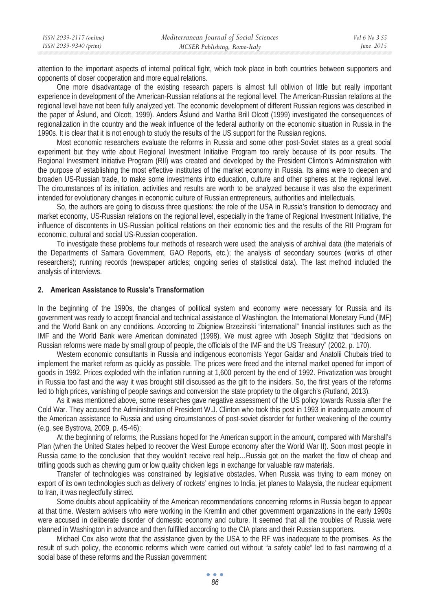| ISSN 2039-2117 (online) | Mediterranean Journal of Social Sciences | Vol 6 No 3 S5 |
|-------------------------|------------------------------------------|---------------|
| ISSN 2039-9340 (print)  | MCSER Publishing, Rome-Italy             | June $2015$   |

attention to the important aspects of internal political fight, which took place in both countries between supporters and opponents of closer cooperation and more equal relations.

One more disadvantage of the existing research papers is almost full oblivion of little but really important experience in development of the American-Russian relations at the regional level. The American-Russian relations at the regional level have not been fully analyzed yet. The economic development of different Russian regions was described in the paper of Åslund, and Olcott, 1999). Anders Åslund and Martha Brill Olcott (1999) investigated the consequences of regionalization in the country and the weak influence of the federal authority on the economic situation in Russia in the 1990s. It is clear that it is not enough to study the results of the US support for the Russian regions.

Most economic researchers evaluate the reforms in Russia and some other post-Soviet states as a great social experiment but they write about Regional Investment Initiative Program too rarely because of its poor results. The Regional Investment Initiative Program (RII) was created and developed by the President Clinton's Administration with the purpose of establishing the most effective institutes of the market economy in Russia. Its aims were to deepen and broaden US-Russian trade, to make some investments into education, culture and other spheres at the regional level. The circumstances of its initiation, activities and results are worth to be analyzed because it was also the experiment intended for evolutionary changes in economic culture of Russian entrepreneurs, authorities and intellectuals.

So, the authors are going to discuss three questions: the role of the USA in Russia's transition to democracy and market economy, US-Russian relations on the regional level, especially in the frame of Regional Investment Initiative, the influence of discontents in US-Russian political relations on their economic ties and the results of the RII Program for economic, cultural and social US-Russian cooperation.

To investigate these problems four methods of research were used: the analysis of archival data (the materials of the Departments of Samara Government, GAO Reports, etc.); the analysis of secondary sources (works of other researchers); running records (newspaper articles; ongoing series of statistical data). The last method included the analysis of interviews.

# **2. American Assistance to Russia's Transformation**

In the beginning of the 1990s, the changes of political system and economy were necessary for Russia and its government was ready to accept financial and technical assistance of Washington, the International Monetary Fund (IMF) and the World Bank on any conditions. According to Zbigniew Brzezinski "international" financial institutes such as the IMF and the World Bank were American dominated (1998). We must agree with Joseph Stiglitz that "decisions on Russian reforms were made by small group of people, the officials of the IMF and the US Treasury" (2002, p. 170).

Western economic consultants in Russia and indigenous economists Yegor Gaidar and Anatolii Chubais tried to implement the market reform as quickly as possible. The prices were freed and the internal market opened for import of goods in 1992. Prices exploded with the inflation running at 1,600 percent by the end of 1992. Privatization was brought in Russia too fast and the way it was brought still discussed as the gift to the insiders. So, the first years of the reforms led to high prices, vanishing of people savings and conversion the state propriety to the oligarch's (Rutland, 2013).

As it was mentioned above, some researches gave negative assessment of the US policy towards Russia after the Cold War. They accused the Administration of President W.J. Clinton who took this post in 1993 in inadequate amount of the American assistance to Russia and using circumstances of post-soviet disorder for further weakening of the country (e.g. see Bystrova, 2009, p. 45-46):

At the beginning of reforms, the Russians hoped for the American support in the amount, compared with Marshall's Plan (when the United States helped to recover the West Europe economy after the World War II). Soon most people in Russia came to the conclusion that they wouldn't receive real help…Russia got on the market the flow of cheap and trifling goods such as chewing gum or low quality chicken legs in exchange for valuable raw materials.

Transfer of technologies was constrained by legislative obstacles. When Russia was trying to earn money on export of its own technologies such as delivery of rockets' engines to India, jet planes to Malaysia, the nuclear equipment to Iran, it was neglectfully stirred.

Some doubts about applicability of the American recommendations concerning reforms in Russia began to appear at that time. Western advisers who were working in the Kremlin and other government organizations in the early 1990s were accused in deliberate disorder of domestic economy and culture. It seemed that all the troubles of Russia were planned in Washington in advance and then fulfilled according to the CIA plans and their Russian supporters.

Michael Cox also wrote that the assistance given by the USA to the RF was inadequate to the promises. As the result of such policy, the economic reforms which were carried out without "a safety cable" led to fast narrowing of a social base of these reforms and the Russian government: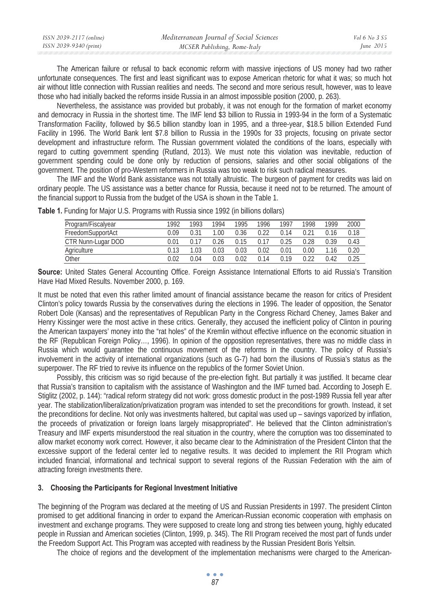| ISSN 2039-2117 (online) | Mediterranean Journal of Social Sciences | <i>Vol</i> 6 No 3 S5 |
|-------------------------|------------------------------------------|----------------------|
| ISSN 2039-9340 (print)  | MCSER Publishing, Rome-Italy             | June $2015$          |

The American failure or refusal to back economic reform with massive injections of US money had two rather unfortunate consequences. The first and least significant was to expose American rhetoric for what it was; so much hot air without little connection with Russian realities and needs. The second and more serious result, however, was to leave those who had initially backed the reforms inside Russia in an almost impossible position (2000, p. 263).

Nevertheless, the assistance was provided but probably, it was not enough for the formation of market economy and democracy in Russia in the shortest time. The IMF lend \$3 billion to Russia in 1993-94 in the form of a Systematic Transformation Facility, followed by \$6.5 billion standby loan in 1995, and a three-year, \$18.5 billion Extended Fund Facility in 1996. The World Bank lent \$7.8 billion to Russia in the 1990s for 33 projects, focusing on private sector development and infrastructure reform. The Russian government violated the conditions of the loans, especially with regard to cutting government spending (Rutland, 2013). We must note this violation was inevitable, reduction of government spending could be done only by reduction of pensions, salaries and other social obligations of the government. The position of pro-Western reformers in Russia was too weak to risk such radical measures.

The IMF and the World Bank assistance was not totally altruistic. The burgeon of payment for credits was laid on ordinary people. The US assistance was a better chance for Russia, because it need not to be returned. The amount of the financial support to Russia from the budget of the USA is shown in the Table 1.

| Program/Fiscalyear | 1992 | 1993 | 1994 | 1995 | 1996 | 1997 | 1998 | 1999 | 2000 |
|--------------------|------|------|------|------|------|------|------|------|------|
| FreedomSupportAct  | 0.09 | በ 31 | .00  | 0.36 |      | ባ 14 |      | 0.16 | 0.18 |
| CTR Nunn-Lugar DOD | 0.01 |      | 0.26 | 0.15 |      | ባ ን5 | 0.28 | 0.39 | 0.43 |
| Agriculture        | 0.13 | .03  | 0.03 | 0.03 | 0.02 | 0.01 | 0.00 |      | 0.20 |
| Other              | 0.02 | 0.04 | 0.03 | 0.02 | 0.14 | በ 19 |      | 0.42 | 0.25 |

**Table 1.** Funding for Major U.S. Programs with Russia since 1992 (in billions dollars)

**Source:** United States General Accounting Office. Foreign Assistance International Efforts to aid Russia's Transition Have Had Mixed Results. November 2000, p. 169.

It must be noted that even this rather limited amount of financial assistance became the reason for critics of President Clinton's policy towards Russia by the conservatives during the elections in 1996. The leader of opposition, the Senator Robert Dole (Kansas) and the representatives of Republican Party in the Congress Richard Cheney, James Baker and Henry Kissinger were the most active in these critics. Generally, they accused the inefficient policy of Clinton in pouring the American taxpayers' money into the "rat holes" of the Kremlin without effective influence on the economic situation in the RF (Republican Foreign Policy…, 1996). In opinion of the opposition representatives, there was no middle class in Russia which would guarantee the continuous movement of the reforms in the country. The policy of Russia's involvement in the activity of international organizations (such as G-7) had born the illusions of Russia's status as the superpower. The RF tried to revive its influence on the republics of the former Soviet Union.

Possibly, this criticism was so rigid because of the pre-election fight. But partially it was justified. It became clear that Russia's transition to capitalism with the assistance of Washington and the IMF turned bad. According to Joseph E. Stiglitz (2002, p. 144): "radical reform strategy did not work: gross domestic product in the post-1989 Russia fell year after year. The stabilization/liberalization/privatization program was intended to set the preconditions for growth. Instead, it set the preconditions for decline. Not only was investments haltered, but capital was used up – savings vaporized by inflation, the proceeds of privatization or foreign loans largely misappropriated". He believed that the Clinton administration's Treasury and IMF experts misunderstood the real situation in the country, where the corruption was too disseminated to allow market economy work correct. However, it also became clear to the Administration of the President Clinton that the excessive support of the federal center led to negative results. It was decided to implement the RII Program which included financial, informational and technical support to several regions of the Russian Federation with the aim of attracting foreign investments there.

## **3. Choosing the Participants for Regional Investment Initiative**

The beginning of the Program was declared at the meeting of US and Russian Presidents in 1997. The president Clinton promised to get additional financing in order to expand the American-Russian economic cooperation with emphasis on investment and exchange programs. They were supposed to create long and strong ties between young, highly educated people in Russian and American societies (Clinton, 1999, p. 345). The RII Program received the most part of funds under the Freedom Support Act. This Program was accepted with readiness by the Russian President Boris Yeltsin.

The choice of regions and the development of the implementation mechanisms were charged to the American-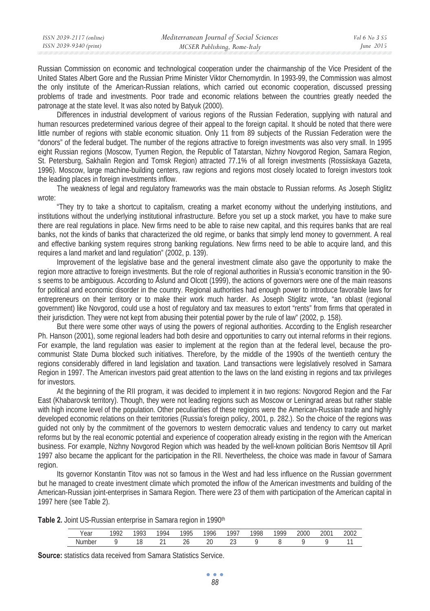| ISSN 2039-9340 (print)<br>June $2015$<br>MCSER Publishing, Rome-Italy | ISSN 2039-2117 (online) | Mediterranean Journal of Social Sciences | Vol 6 No. 3 S5 |
|-----------------------------------------------------------------------|-------------------------|------------------------------------------|----------------|
|                                                                       |                         |                                          |                |

Russian Commission on economic and technological cooperation under the chairmanship of the Vice President of the United States Albert Gore and the Russian Prime Minister Viktor Chernomyrdin. In 1993-99, the Commission was almost the only institute of the American-Russian relations, which carried out economic cooperation, discussed pressing problems of trade and investments. Poor trade and economic relations between the countries greatly needed the patronage at the state level. It was also noted by Batyuk (2000).

Differences in industrial development of various regions of the Russian Federation, supplying with natural and human resources predetermined various degree of their appeal to the foreign capital. It should be noted that there were little number of regions with stable economic situation. Only 11 from 89 subjects of the Russian Federation were the "donors" of the federal budget. The number of the regions attractive to foreign investments was also very small. In 1995 eight Russian regions (Moscow, Tyumen Region, the Republic of Tatarstan, Nizhny Novgorod Region, Samara Region, St. Petersburg, Sakhalin Region and Tomsk Region) attracted 77.1% of all foreign investments (Rossiiskaya Gazeta, 1996). Moscow, large machine-building centers, raw regions and regions most closely located to foreign investors took the leading places in foreign investments inflow.

The weakness of legal and regulatory frameworks was the main obstacle to Russian reforms. As Joseph Stiglitz wrote:

"They try to take a shortcut to capitalism, creating a market economy without the underlying institutions, and institutions without the underlying institutional infrastructure. Before you set up a stock market, you have to make sure there are real regulations in place. New firms need to be able to raise new capital, and this requires banks that are real banks, not the kinds of banks that characterized the old regime, or banks that simply lend money to government. A real and effective banking system requires strong banking regulations. New firms need to be able to acquire land, and this requires a land market and land regulation" (2002, p. 139).

Improvement of the legislative base and the general investment climate also gave the opportunity to make the region more attractive to foreign investments. But the role of regional authorities in Russia's economic transition in the 90 s seems to be ambiguous. According to Åslund and Olcott (1999), the actions of governors were one of the main reasons for political and economic disorder in the country. Regional authorities had enough power to introduce favorable laws for entrepreneurs on their territory or to make their work much harder. As Joseph Stiglitz wrote, "an oblast (regional government) like Novgorod, could use a host of regulatory and tax measures to extort "rents" from firms that operated in their jurisdiction. They were not kept from abusing their potential power by the rule of law" (2002, p. 158).

But there were some other ways of using the powers of regional authorities. According to the English researcher Ph. Hanson (2001), some regional leaders had both desire and opportunities to carry out internal reforms in their regions. For example, the land regulation was easier to implement at the region than at the federal level, because the procommunist State Duma blocked such initiatives. Therefore, by the middle of the 1990s of the twentieth century the regions considerably differed in land legislation and taxation. Land transactions were legislatively resolved in Samara Region in 1997. The American investors paid great attention to the laws on the land existing in regions and tax privileges for investors.

At the beginning of the RII program, it was decided to implement it in two regions: Novgorod Region and the Far East (Khabarovsk territory). Though, they were not leading regions such as Moscow or Leningrad areas but rather stable with high income level of the population. Other peculiarities of these regions were the American-Russian trade and highly developed economic relations on their territories (Russia's foreign policy, 2001, p. 282.). So the choice of the regions was guided not only by the commitment of the governors to western democratic values and tendency to carry out market reforms but by the real economic potential and experience of cooperation already existing in the region with the American business. For example, Nizhny Novgorod Region which was headed by the well-known politician Boris Nemtsov till April 1997 also became the applicant for the participation in the RII. Nevertheless, the choice was made in favour of Samara region.

Its governor Konstantin Titov was not so famous in the West and had less influence on the Russian government but he managed to create investment climate which promoted the inflow of the American investments and building of the American-Russian joint-enterprises in Samara Region. There were 23 of them with participation of the American capital in 1997 here (see Table 2).

Table 2. Joint US-Russian enterprise in Samara region in 1990<sup>th</sup>

| Year | 001<br>. . | 993 | 1994   | <b>QQF</b><br>٠., | 00 <sub>1</sub><br>טלי | $190^{-}$ | 1995 | 1990 | 2000 | 2001 | 200 <sup>o</sup><br>UL. |
|------|------------|-----|--------|-------------------|------------------------|-----------|------|------|------|------|-------------------------|
| N۱   |            | U   | $\sim$ | ∠∪                | $\cap$<br>∠⊾           | n r<br>៹៶ |      |      |      |      |                         |

**Source:** statistics data received from Samara Statistics Service.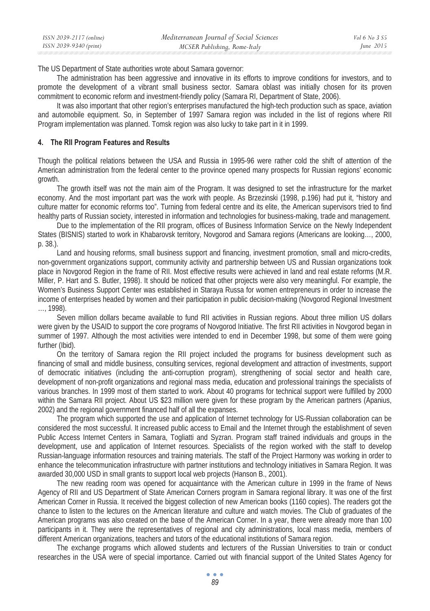| ISSN 2039-2117 (online) | Mediterranean Journal of Social Sciences | <i>Vol</i> 6 No. 3 $S$ 5 |
|-------------------------|------------------------------------------|--------------------------|
| ISSN 2039-9340 (print)  | MCSER Publishing, Rome-Italy             | June 2015                |

The US Department of State authorities wrote about Samara governor:

The administration has been aggressive and innovative in its efforts to improve conditions for investors, and to promote the development of a vibrant small business sector. Samara oblast was initially chosen for its proven commitment to economic reform and investment-friendly policy (Samara RI, Department of State, 2006).

It was also important that other region's enterprises manufactured the high-tech production such as space, aviation and automobile equipment. So, in September of 1997 Samara region was included in the list of regions where RII Program implementation was planned. Tomsk region was also lucky to take part in it in 1999.

#### **4. The RII Program Features and Results**

Though the political relations between the USA and Russia in 1995-96 were rather cold the shift of attention of the American administration from the federal center to the province opened many prospects for Russian regions' economic growth.

The growth itself was not the main aim of the Program. It was designed to set the infrastructure for the market economy. And the most important part was the work with people. As Brzezinski (1998, p.196) had put it, "history and culture matter for economic reforms too". Turning from federal centre and its elite, the American supervisors tried to find healthy parts of Russian society, interested in information and technologies for business-making, trade and management.

Due to the implementation of the RII program, offices of Business Information Service on the Newly Independent States (BISNIS) started to work in Khabarovsk territory, Novgorod and Samara regions (Americans are looking…, 2000, p. 38.).

Land and housing reforms, small business support and financing, investment promotion, small and micro-credits, non-government organizations support, community activity and partnership between US and Russian organizations took place in Novgorod Region in the frame of RII. Most effective results were achieved in land and real estate reforms (M.R. Miller, P. Hart and S. Butler, 1998). It should be noticed that other projects were also very meaningful. For example, the Women's Business Support Center was established in Staraya Russa for women entrepreneurs in order to increase the income of enterprises headed by women and their participation in public decision-making (Novgorod Regional Investment …, 1998).

Seven million dollars became available to fund RII activities in Russian regions. About three million US dollars were given by the USAID to support the core programs of Novgorod Initiative. The first RII activities in Novgorod began in summer of 1997. Although the most activities were intended to end in December 1998, but some of them were going further (Ibid).

On the territory of Samara region the RII project included the programs for business development such as financing of small and middle business, consulting services, regional development and attraction of investments, support of democratic initiatives (including the anti-corruption program), strengthening of social sector and health care, development of non-profit organizations and regional mass media, education and professional trainings the specialists of various branches. In 1999 most of them started to work. About 40 programs for technical support were fulfilled by 2000 within the Samara RII project. About US \$23 million were given for these program by the American partners (Apanius, 2002) and the regional government financed half of all the expanses.

The program which supported the use and application of Internet technology for US-Russian collaboration can be considered the most successful. It increased public access to Email and the Internet through the establishment of seven Public Access Internet Centers in Samara, Togliatti and Syzran. Program staff trained individuals and groups in the development, use and application of Internet resources. Specialists of the region worked with the staff to develop Russian-language information resources and training materials. The staff of the Project Harmony was working in order to enhance the telecommunication infrastructure with partner institutions and technology initiatives in Samara Region. It was awarded 30,000 USD in small grants to support local web projects (Hanson B., 2001).

The new reading room was opened for acquaintance with the American culture in 1999 in the frame of News Agency of RII and US Department of State American Corners program in Samara regional library. It was one of the first American Corner in Russia. It received the biggest collection of new American books (1160 copies). The readers got the chance to listen to the lectures on the American literature and culture and watch movies. The Club of graduates of the American programs was also created on the base of the American Corner. In a year, there were already more than 100 participants in it. They were the representatives of regional and city administrations, local mass media, members of different American organizations, teachers and tutors of the educational institutions of Samara region.

The exchange programs which allowed students and lecturers of the Russian Universities to train or conduct researches in the USA were of special importance. Carried out with financial support of the United States Agency for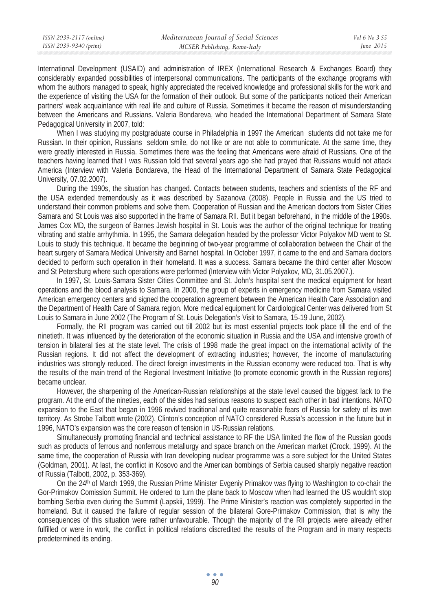International Development (USAID) and administration of IREX (International Research & Exchanges Board) they considerably expanded possibilities of interpersonal communications. The participants of the exchange programs with whom the authors managed to speak, highly appreciated the received knowledge and professional skills for the work and the experience of visiting the USA for the formation of their outlook. But some of the participants noticed their American partners' weak acquaintance with real life and culture of Russia. Sometimes it became the reason of misunderstanding between the Americans and Russians. Valeria Bondareva, who headed the International Department of Samara State Pedagogical University in 2007, told:

When I was studying my postgraduate course in Philadelphia in 1997 the American students did not take me for Russian. In their opinion, Russians seldom smile, do not like or are not able to communicate. At the same time, they were greatly interested in Russia. Sometimes there was the feeling that Americans were afraid of Russians. One of the teachers having learned that I was Russian told that several years ago she had prayed that Russians would not attack America (Interview with Valeria Bondareva, the Head of the International Department of Samara State Pedagogical University, 07.02.2007).

During the 1990s, the situation has changed. Contacts between students, teachers and scientists of the RF and the USA extended tremendously as it was described by Sazanova (2008). People in Russia and the US tried to understand their common problems and solve them. Cooperation of Russian and the American doctors from Sister Cities Samara and St Louis was also supported in the frame of Samara RII. But it began beforehand, in the middle of the 1990s. James Cox MD, the surgeon of Barnes Jewish hospital in St. Louis was the author of the original technique for treating vibrating and stable arrhythmia. In 1995, the Samara delegation headed by the professor Victor Polyakov MD went to St. Louis to study this technique. It became the beginning of two-year programme of collaboration between the Chair of the heart surgery of Samara Medical University and Barnet hospital. In October 1997, it came to the end and Samara doctors decided to perform such operation in their homeland. It was a success. Samara became the third center after Moscow and St Petersburg where such operations were performed (Interview with Victor Polyakov, MD, 31.05.2007.).

In 1997, St. Louis-Samara Sister Cities Committee and St. John's hospital sent the medical equipment for heart operations and the blood analysis to Samara. In 2000, the group of experts in emergency medicine from Samara visited American emergency centers and signed the cooperation agreement between the American Health Care Association and the Department of Health Care of Samara region. More medical equipment for Cardiological Center was delivered from St Louis to Samara in June 2002 (The Program of St. Louis Delegation's Visit to Samara, 15-19 June, 2002).

Formally, the RII program was carried out till 2002 but its most essential projects took place till the end of the ninetieth. It was influenced by the deterioration of the economic situation in Russia and the USA and intensive growth of tension in bilateral ties at the state level. The crisis of 1998 made the great impact on the international activity of the Russian regions. It did not affect the development of extracting industries; however, the income of manufacturing industries was strongly reduced. The direct foreign investments in the Russian economy were reduced too. That is why the results of the main trend of the Regional Investment Initiative (to promote economic growth in the Russian regions) became unclear.

However, the sharpening of the American-Russian relationships at the state level caused the biggest lack to the program. At the end of the nineties, each of the sides had serious reasons to suspect each other in bad intentions. NATO expansion to the East that began in 1996 revived traditional and quite reasonable fears of Russia for safety of its own territory. As Strobe Talbott wrote (2002), Clinton's conception of NATO considered Russia's accession in the future but in 1996, NATO's expansion was the core reason of tension in US-Russian relations.

Simultaneously promoting financial and technical assistance to RF the USA limited the flow of the Russian goods such as products of ferrous and nonferrous metallurgy and space branch on the American market (Crock, 1999). At the same time, the cooperation of Russia with Iran developing nuclear programme was a sore subject for the United States (Goldman, 2001). At last, the conflict in Kosovo and the American bombings of Serbia caused sharply negative reaction of Russia (Talbott, 2002, p. 353-369).

On the 24<sup>th</sup> of March 1999, the Russian Prime Minister Evgeniy Primakov was flying to Washington to co-chair the Gor-Primakov Comission Summit. He ordered to turn the plane back to Moscow when had learned the US wouldn't stop bombing Serbia even during the Summit (Lapskii, 1999). The Prime Minister's reaction was completely supported in the homeland. But it caused the failure of regular session of the bilateral Gore-Primakov Commission, that is why the consequences of this situation were rather unfavourable. Though the majority of the RII projects were already either fulfilled or were in work, the conflict in political relations discredited the results of the Program and in many respects predetermined its ending.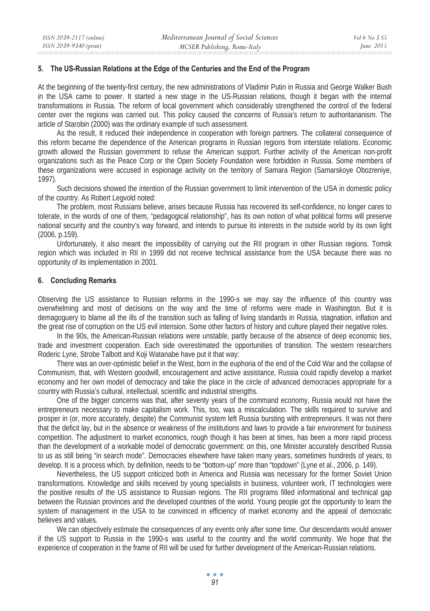### **5. The US-Russian Relations at the Edge of the Centuries and the End of the Program**

At the beginning of the twenty-first century, the new administrations of Vladimir Putin in Russia and George Walker Bush in the USA came to power. It started a new stage in the US-Russian relations, though it began with the internal transformations in Russia. The reform of local government which considerably strengthened the control of the federal center over the regions was carried out. This policy caused the concerns of Russia's return to authoritarianism. The article of Starobin (2000) was the ordinary example of such assessment.

As the result, it reduced their independence in cooperation with foreign partners. The collateral consequence of this reform became the dependence of the American programs in Russian regions from interstate relations. Economic growth allowed the Russian government to refuse the American support. Further activity of the American non-profit organizations such as the Peace Corp or the Open Society Foundation were forbidden in Russia. Some members of these organizations were accused in espionage activity on the territory of Samara Region (Samarskoye Obozreniye, 1997).

Such decisions showed the intention of the Russian government to limit intervention of the USA in domestic policy of the country. As Robert Legvold noted:

The problem, most Russians believe, arises because Russia has recovered its self-confidence, no longer cares to tolerate, in the words of one of them, "pedagogical relationship", has its own notion of what political forms will preserve national security and the country's way forward, and intends to pursue its interests in the outside world by its own light (2006, p.159).

Unfortunately, it also meant the impossibility of carrying out the RII program in other Russian regions. Tomsk region which was included in RII in 1999 did not receive technical assistance from the USA because there was no opportunity of its implementation in 2001.

## **6. Concluding Remarks**

Observing the US assistance to Russian reforms in the 1990-s we may say the influence of this country was overwhelming and most of decisions on the way and the time of reforms were made in Washington. But it is demagoguery to blame all the ills of the transition such as falling of living standards in Russia, stagnation, inflation and the great rise of corruption on the US evil intension. Some other factors of history and culture played their negative roles.

In the 90s, the American-Russian relations were unstable, partly because of the absence of deep economic ties, trade and investment cooperation. Each side overestimated the opportunities of transition. The western researchers Roderic Lyne, Strobe Talbott and Koji Watanabe have put it that way:

There was an over-optimistic belief in the West, born in the euphoria of the end of the Cold War and the collapse of Communism, that, with Western goodwill, encouragement and active assistance, Russia could rapidly develop a market economy and her own model of democracy and take the place in the circle of advanced democracies appropriate for a country with Russia's cultural, intellectual, scientific and industrial strengths.

One of the bigger concerns was that, after seventy years of the command economy, Russia would not have the entrepreneurs necessary to make capitalism work. This, too, was a miscalculation. The skills required to survive and prosper in (or, more accurately, despite) the Communist system left Russia bursting with entrepreneurs. It was not there that the deficit lay, but in the absence or weakness of the institutions and laws to provide a fair environment for business competition. The adjustment to market economics, rough though it has been at times, has been a more rapid process than the development of a workable model of democratic government: on this, one Minister accurately described Russia to us as still being "in search mode". Democracies elsewhere have taken many years, sometimes hundreds of years, to develop. It is a process which, by definition, needs to be "bottom-up" more than "topdown" (Lyne et al., 2006, p. 149).

Nevertheless, the US support criticized both in America and Russia was necessary for the former Soviet Union transformations. Knowledge and skills received by young specialists in business, volunteer work, IT technologies were the positive results of the US assistance to Russian regions. The RII programs filled informational and technical gap between the Russian provinces and the developed countries of the world. Young people got the opportunity to learn the system of management in the USA to be convinced in efficiency of market economy and the appeal of democratic believes and values.

We can objectively estimate the consequences of any events only after some time. Our descendants would answer if the US support to Russia in the 1990-s was useful to the country and the world community. We hope that the experience of cooperation in the frame of RII will be used for further development of the American-Russian relations.